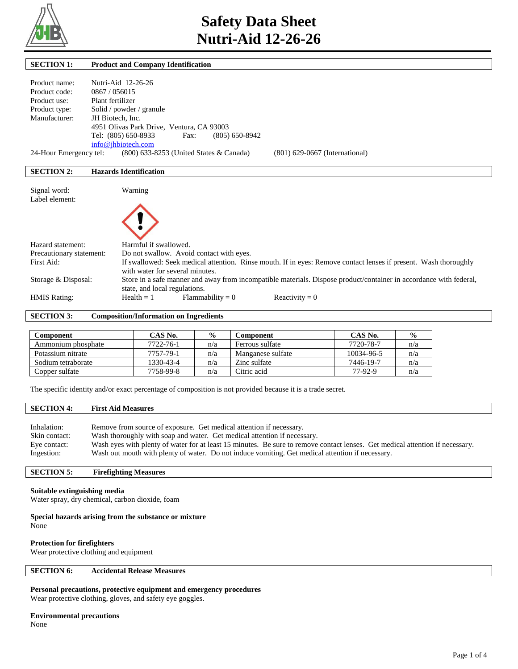

| <b>SECTION 1:</b>                                                                                         | <b>Product and Company Identification</b>                                                                                                                                                                                                                                                                                                                                                                                                 |
|-----------------------------------------------------------------------------------------------------------|-------------------------------------------------------------------------------------------------------------------------------------------------------------------------------------------------------------------------------------------------------------------------------------------------------------------------------------------------------------------------------------------------------------------------------------------|
|                                                                                                           |                                                                                                                                                                                                                                                                                                                                                                                                                                           |
| Product name:                                                                                             | Nutri-Aid 12-26-26                                                                                                                                                                                                                                                                                                                                                                                                                        |
| Product code:                                                                                             | 0867 / 056015                                                                                                                                                                                                                                                                                                                                                                                                                             |
| Product use:                                                                                              | Plant fertilizer                                                                                                                                                                                                                                                                                                                                                                                                                          |
| Product type:                                                                                             | Solid / powder / granule                                                                                                                                                                                                                                                                                                                                                                                                                  |
| Manufacturer:                                                                                             | JH Biotech. Inc.                                                                                                                                                                                                                                                                                                                                                                                                                          |
|                                                                                                           | 4951 Olivas Park Drive, Ventura, CA 93003                                                                                                                                                                                                                                                                                                                                                                                                 |
|                                                                                                           | Tel: (805) 650-8933<br>$(805)$ 650-8942<br>Fax:                                                                                                                                                                                                                                                                                                                                                                                           |
|                                                                                                           | info@jhbiotech.com                                                                                                                                                                                                                                                                                                                                                                                                                        |
| 24-Hour Emergency tel:                                                                                    | (800) 633-8253 (United States & Canada)<br>$(801)$ 629-0667 (International)                                                                                                                                                                                                                                                                                                                                                               |
|                                                                                                           |                                                                                                                                                                                                                                                                                                                                                                                                                                           |
| <b>SECTION 2:</b>                                                                                         | <b>Hazards Identification</b>                                                                                                                                                                                                                                                                                                                                                                                                             |
|                                                                                                           |                                                                                                                                                                                                                                                                                                                                                                                                                                           |
| Signal word:                                                                                              | Warning                                                                                                                                                                                                                                                                                                                                                                                                                                   |
| Label element:                                                                                            |                                                                                                                                                                                                                                                                                                                                                                                                                                           |
|                                                                                                           |                                                                                                                                                                                                                                                                                                                                                                                                                                           |
|                                                                                                           |                                                                                                                                                                                                                                                                                                                                                                                                                                           |
|                                                                                                           |                                                                                                                                                                                                                                                                                                                                                                                                                                           |
|                                                                                                           |                                                                                                                                                                                                                                                                                                                                                                                                                                           |
|                                                                                                           |                                                                                                                                                                                                                                                                                                                                                                                                                                           |
|                                                                                                           |                                                                                                                                                                                                                                                                                                                                                                                                                                           |
|                                                                                                           |                                                                                                                                                                                                                                                                                                                                                                                                                                           |
|                                                                                                           |                                                                                                                                                                                                                                                                                                                                                                                                                                           |
|                                                                                                           |                                                                                                                                                                                                                                                                                                                                                                                                                                           |
|                                                                                                           |                                                                                                                                                                                                                                                                                                                                                                                                                                           |
|                                                                                                           |                                                                                                                                                                                                                                                                                                                                                                                                                                           |
| Hazard statement:<br>Precautionary statement:<br>First Aid:<br>Storage & Disposal:<br><b>HMIS Rating:</b> | Harmful if swallowed.<br>Do not swallow. Avoid contact with eyes.<br>If swallowed: Seek medical attention. Rinse mouth. If in eyes: Remove contact lenses if present. Wash thoroughly<br>with water for several minutes.<br>Store in a safe manner and away from incompatible materials. Dispose product/container in accordance with federal,<br>state, and local regulations.<br>$Flammability = 0$<br>Reactivity = $0$<br>$Health = 1$ |

**SECTION 3: Composition/Information on Ingredients** 

| Component          | CAS No.   | $\frac{6}{9}$ | Component         | CAS No.    | $\frac{6}{9}$ |
|--------------------|-----------|---------------|-------------------|------------|---------------|
| Ammonium phosphate | 7722-76-1 | n/a           | Ferrous sulfate   | 7720-78-7  | n/a           |
| Potassium nitrate  | 7757-79-1 | n/a           | Manganese sulfate | 10034-96-5 | n/a           |
| Sodium tetraborate | 1330-43-4 | n/a           | Zinc sulfate      | 7446-19-7  | n/a           |
| Copper sulfate     | 7758-99-8 | n/a           | Citric acid       | 77-92-9    | n/a           |

The specific identity and/or exact percentage of composition is not provided because it is a trade secret.

# **SECTION 4: First Aid Measures**

| Inhalation:   | Remove from source of exposure. Get medical attention if necessary.                                                           |
|---------------|-------------------------------------------------------------------------------------------------------------------------------|
| Skin contact: | Wash thoroughly with soap and water. Get medical attention if necessary.                                                      |
| Eye contact:  | Wash eves with plenty of water for at least 15 minutes. Be sure to remove contact lenses. Get medical attention if necessary. |
| Ingestion:    | Wash out mouth with plenty of water. Do not induce vomiting. Get medical attention if necessary.                              |

## **SECTION 5: Firefighting Measures**

#### **Suitable extinguishing media**

Water spray, dry chemical, carbon dioxide, foam

#### **Special hazards arising from the substance or mixture**

None

## **Protection for firefighters**

Wear protective clothing and equipment

## **SECTION 6: Accidental Release Measures**

## **Personal precautions, protective equipment and emergency procedures**

Wear protective clothing, gloves, and safety eye goggles.

## **Environmental precautions**

None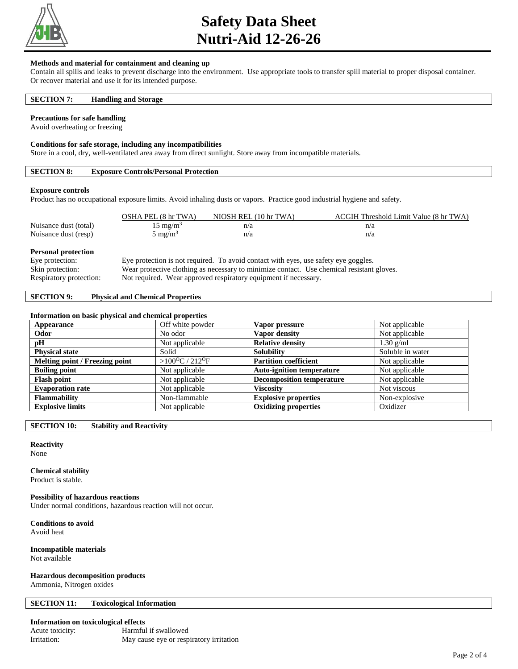

# **Safety Data Sheet Nutri-Aid 12-26-26**

#### **Methods and material for containment and cleaning up**

Contain all spills and leaks to prevent discharge into the environment. Use appropriate tools to transfer spill material to proper disposal container. Or recover material and use it for its intended purpose.

#### **SECTION 7: Handling and Storage**

#### **Precautions for safe handling**

Avoid overheating or freezing

#### **Conditions for safe storage, including any incompatibilities**

Store in a cool, dry, well-ventilated area away from direct sunlight. Store away from incompatible materials.

## **SECTION 8: Exposure Controls/Personal Protection**

#### **Exposure controls**

Product has no occupational exposure limits. Avoid inhaling dusts or vapors. Practice good industrial hygiene and safety.

|                                               | OSHA PEL (8 hr TWA) | NIOSH REL (10 hr TWA)                                                               | ACGIH Threshold Limit Value (8 hr TWA) |
|-----------------------------------------------|---------------------|-------------------------------------------------------------------------------------|----------------------------------------|
| Nuisance dust (total)                         | $15 \text{ mg/m}^3$ | n/a                                                                                 | n/a                                    |
| Nuisance dust (resp)                          | $5 \text{ mg/m}^3$  | n/a                                                                                 | n/a                                    |
| <b>Personal protection</b><br>Eye protection: |                     | Eye protection is not required. To avoid contact with eyes, use safety eye goggles. |                                        |

#### Skin protection: Wear protective clothing as necessary to minimize contact. Use chemical resistant gloves.

Respiratory protection: Not required. Wear approved respiratory equipment if necessary.

## **SECTION 9: Physical and Chemical Properties**

#### **Information on basic physical and chemical properties**

| Appearance                     | Off white powder                      | Vapor pressure                   | Not applicable   |
|--------------------------------|---------------------------------------|----------------------------------|------------------|
| Odor                           | No odor                               | Vapor density                    | Not applicable   |
| pH                             | Not applicable                        | <b>Relative density</b>          | $1.30$ g/ml      |
| <b>Physical state</b>          | Solid                                 | <b>Solubility</b>                | Soluble in water |
| Melting point / Freezing point | $>100^{\circ}$ C / 212 <sup>o</sup> F | <b>Partition coefficient</b>     | Not applicable   |
| <b>Boiling point</b>           | Not applicable                        | <b>Auto-ignition temperature</b> | Not applicable   |
| <b>Flash point</b>             | Not applicable                        | <b>Decomposition temperature</b> | Not applicable   |
| <b>Evaporation rate</b>        | Not applicable                        | <b>Viscosity</b>                 | Not viscous      |
| <b>Flammability</b>            | Non-flammable                         | <b>Explosive properties</b>      | Non-explosive    |
| <b>Explosive limits</b>        | Not applicable                        | <b>Oxidizing properties</b>      | Oxidizer         |

**SECTION 10: Stability and Reactivity** 

## **Reactivity**

None

#### **Chemical stability**

Product is stable.

#### **Possibility of hazardous reactions**

Under normal conditions, hazardous reaction will not occur.

**Conditions to avoid**

Avoid heat

#### **Incompatible materials** Not available

**Hazardous decomposition products**

Ammonia, Nitrogen oxides

#### **SECTION 11: Toxicological Information**

#### **Information on toxicological effects**

| Acute toxicity: | Harmful if swallowed                    |
|-----------------|-----------------------------------------|
| Irritation:     | May cause eye or respiratory irritation |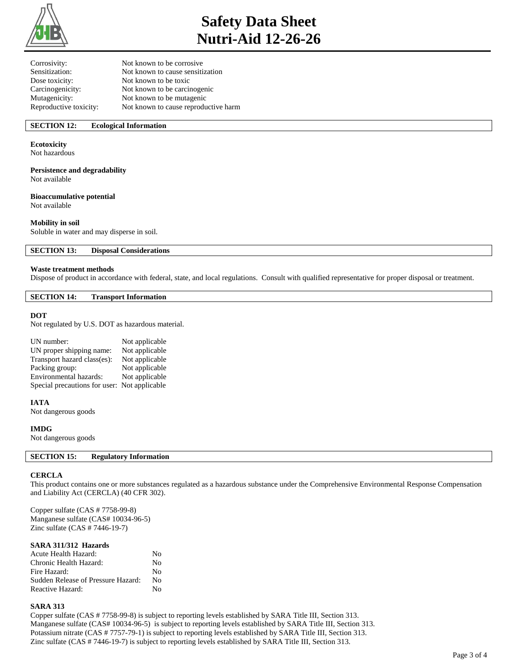

# **Safety Data Sheet Nutri-Aid 12-26-26**

| Not known to be corrosive            |
|--------------------------------------|
| Not known to cause sensitization     |
| Not known to be toxic                |
| Not known to be carcinogenic         |
| Not known to be mutagenic            |
| Not known to cause reproductive harm |
|                                      |

## **SECTION 12: Ecological Information**

### **Ecotoxicity**

Not hazardous

### **Persistence and degradability**

Not available

## **Bioaccumulative potential**

Not available

## **Mobility in soil**

Soluble in water and may disperse in soil.

**SECTION 13: Disposal Considerations** 

#### **Waste treatment methods**

Dispose of product in accordance with federal, state, and local regulations. Consult with qualified representative for proper disposal or treatment.

#### **SECTION 14: Transport Information**

#### **DOT**

Not regulated by U.S. DOT as hazardous material.

| UN number:                                   | Not applicable |
|----------------------------------------------|----------------|
| UN proper shipping name:                     | Not applicable |
| Transport hazard class(es):                  | Not applicable |
| Packing group:                               | Not applicable |
| Environmental hazards:                       | Not applicable |
| Special precautions for user: Not applicable |                |

#### **IATA**

Not dangerous goods

#### **IMDG**

Not dangerous goods

## **SECTION 15: Regulatory Information**

#### **CERCLA**

This product contains one or more substances regulated as a hazardous substance under the Comprehensive Environmental Response Compensation and Liability Act (CERCLA) (40 CFR 302).

Copper sulfate (CAS # 7758-99-8) Manganese sulfate (CAS# 10034-96-5) Zinc sulfate (CAS # 7446-19-7)

#### **SARA 311/312 Hazards**

| <b>Acute Health Hazard:</b>        | Nο      |
|------------------------------------|---------|
| Chronic Health Hazard:             | No      |
| Fire Hazard:                       | $N_{0}$ |
| Sudden Release of Pressure Hazard: | Nο      |
| Reactive Hazard:                   | N٥      |

#### **SARA 313**

Copper sulfate (CAS # 7758-99-8) is subject to reporting levels established by SARA Title III, Section 313. Manganese sulfate (CAS# 10034-96-5) is subject to reporting levels established by SARA Title III, Section 313. Potassium nitrate (CAS # 7757-79-1) is subject to reporting levels established by SARA Title III, Section 313. Zinc sulfate (CAS # 7446-19-7) is subject to reporting levels established by SARA Title III, Section 313.